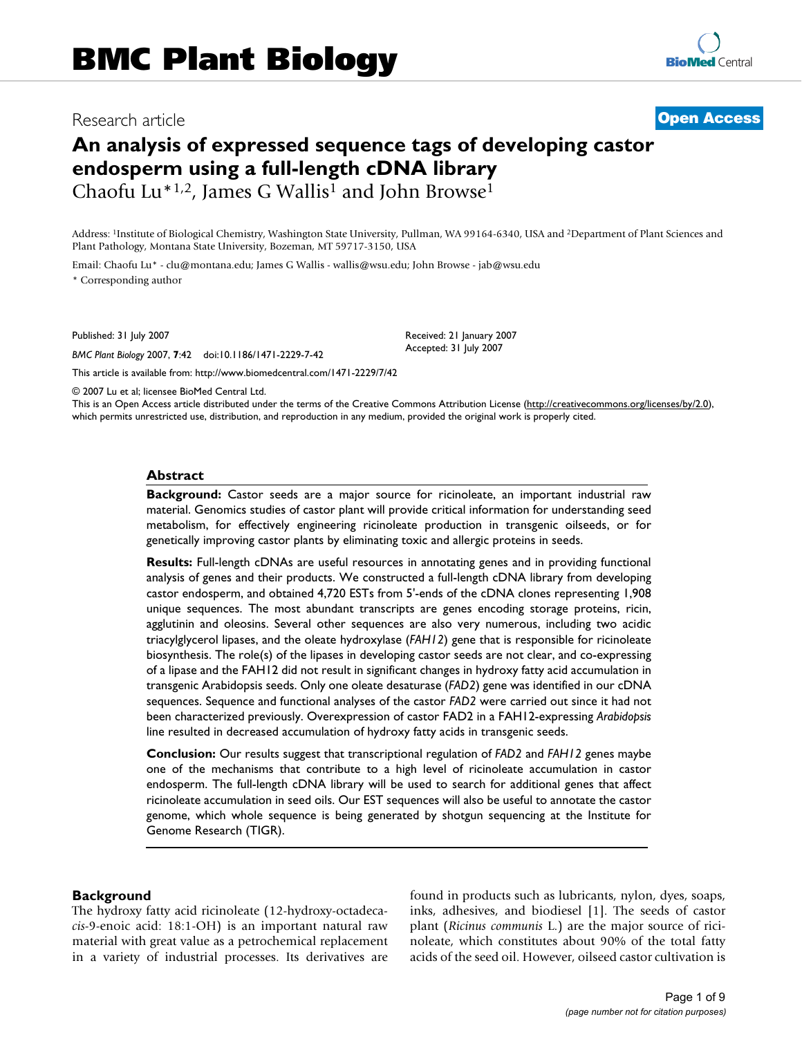## Research article **[Open Access](http://www.biomedcentral.com/info/about/charter/)**

# **An analysis of expressed sequence tags of developing castor endosperm using a full-length cDNA library** Chaofu Lu<sup>\*1,2</sup>, James G Wallis<sup>1</sup> and John Browse<sup>1</sup>

Address: <sup>1</sup>Institute of Biological Chemistry, Washington State University, Pullman, WA 99164-6340, USA and <sup>2</sup>Department of Plant Sciences and Plant Pathology, Montana State University, Bozeman, MT 59717-3150, USA

> Received: 21 January 2007 Accepted: 31 July 2007

Email: Chaofu Lu\* - clu@montana.edu; James G Wallis - wallis@wsu.edu; John Browse - jab@wsu.edu \* Corresponding author

Published: 31 July 2007

*BMC Plant Biology* 2007, **7**:42 doi:10.1186/1471-2229-7-42

[This article is available from: http://www.biomedcentral.com/1471-2229/7/42](http://www.biomedcentral.com/1471-2229/7/42)

© 2007 Lu et al; licensee BioMed Central Ltd.

This is an Open Access article distributed under the terms of the Creative Commons Attribution License [\(http://creativecommons.org/licenses/by/2.0\)](http://creativecommons.org/licenses/by/2.0), which permits unrestricted use, distribution, and reproduction in any medium, provided the original work is properly cited.

#### **Abstract**

**Background:** Castor seeds are a major source for ricinoleate, an important industrial raw material. Genomics studies of castor plant will provide critical information for understanding seed metabolism, for effectively engineering ricinoleate production in transgenic oilseeds, or for genetically improving castor plants by eliminating toxic and allergic proteins in seeds.

**Results:** Full-length cDNAs are useful resources in annotating genes and in providing functional analysis of genes and their products. We constructed a full-length cDNA library from developing castor endosperm, and obtained 4,720 ESTs from 5'-ends of the cDNA clones representing 1,908 unique sequences. The most abundant transcripts are genes encoding storage proteins, ricin, agglutinin and oleosins. Several other sequences are also very numerous, including two acidic triacylglycerol lipases, and the oleate hydroxylase (*FAH12*) gene that is responsible for ricinoleate biosynthesis. The role(s) of the lipases in developing castor seeds are not clear, and co-expressing of a lipase and the FAH12 did not result in significant changes in hydroxy fatty acid accumulation in transgenic Arabidopsis seeds. Only one oleate desaturase (*FAD2*) gene was identified in our cDNA sequences. Sequence and functional analyses of the castor *FAD2* were carried out since it had not been characterized previously. Overexpression of castor FAD2 in a FAH12-expressing *Arabidopsis* line resulted in decreased accumulation of hydroxy fatty acids in transgenic seeds.

**Conclusion:** Our results suggest that transcriptional regulation of *FAD2* and *FAH12* genes maybe one of the mechanisms that contribute to a high level of ricinoleate accumulation in castor endosperm. The full-length cDNA library will be used to search for additional genes that affect ricinoleate accumulation in seed oils. Our EST sequences will also be useful to annotate the castor genome, which whole sequence is being generated by shotgun sequencing at the Institute for Genome Research (TIGR).

#### **Background**

The hydroxy fatty acid ricinoleate (12-hydroxy-octadeca*cis*-9-enoic acid: 18:1-OH) is an important natural raw material with great value as a petrochemical replacement in a variety of industrial processes. Its derivatives are found in products such as lubricants, nylon, dyes, soaps, inks, adhesives, and biodiesel [1]. The seeds of castor plant (*Ricinus communis* L.) are the major source of ricinoleate, which constitutes about 90% of the total fatty acids of the seed oil. However, oilseed castor cultivation is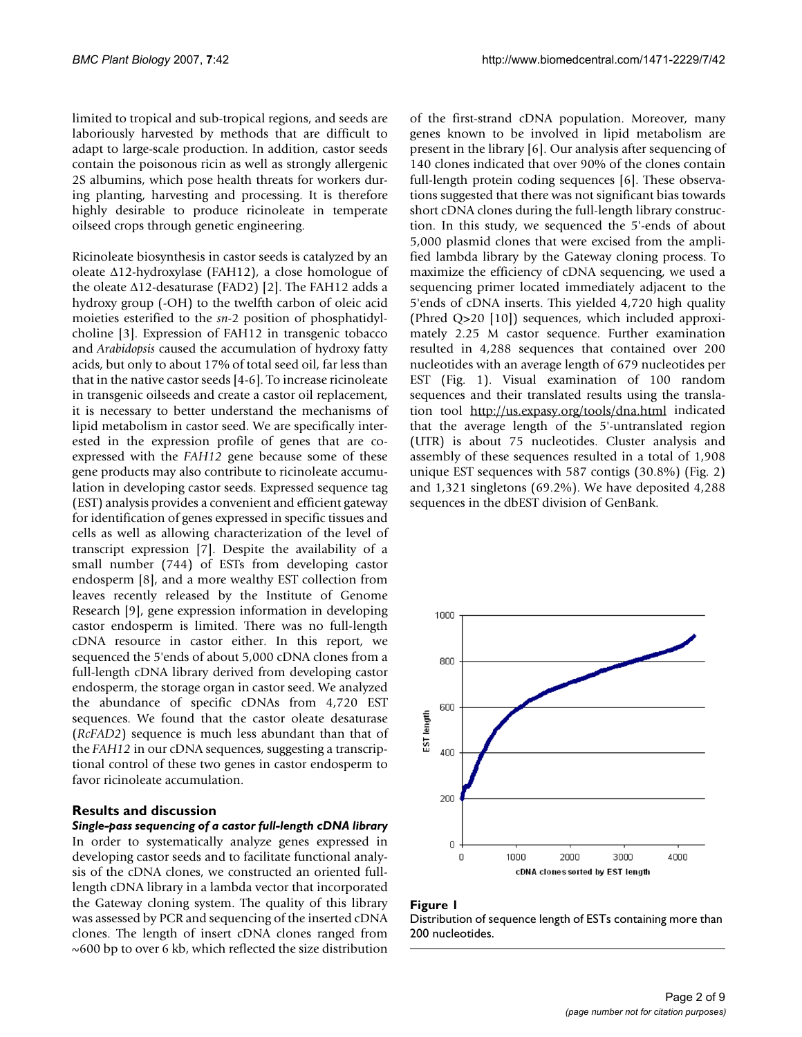limited to tropical and sub-tropical regions, and seeds are laboriously harvested by methods that are difficult to adapt to large-scale production. In addition, castor seeds contain the poisonous ricin as well as strongly allergenic 2S albumins, which pose health threats for workers during planting, harvesting and processing. It is therefore highly desirable to produce ricinoleate in temperate oilseed crops through genetic engineering.

Ricinoleate biosynthesis in castor seeds is catalyzed by an oleate ∆12-hydroxylase (FAH12), a close homologue of the oleate ∆12-desaturase (FAD2) [2]. The FAH12 adds a hydroxy group (-OH) to the twelfth carbon of oleic acid moieties esterified to the *sn*-2 position of phosphatidylcholine [3]. Expression of FAH12 in transgenic tobacco and *Arabidopsis* caused the accumulation of hydroxy fatty acids, but only to about 17% of total seed oil, far less than that in the native castor seeds [4-6]. To increase ricinoleate in transgenic oilseeds and create a castor oil replacement, it is necessary to better understand the mechanisms of lipid metabolism in castor seed. We are specifically interested in the expression profile of genes that are coexpressed with the *FAH12* gene because some of these gene products may also contribute to ricinoleate accumulation in developing castor seeds. Expressed sequence tag (EST) analysis provides a convenient and efficient gateway for identification of genes expressed in specific tissues and cells as well as allowing characterization of the level of transcript expression [7]. Despite the availability of a small number (744) of ESTs from developing castor endosperm [8], and a more wealthy EST collection from leaves recently released by the Institute of Genome Research [9], gene expression information in developing castor endosperm is limited. There was no full-length cDNA resource in castor either. In this report, we sequenced the 5'ends of about 5,000 cDNA clones from a full-length cDNA library derived from developing castor endosperm, the storage organ in castor seed. We analyzed the abundance of specific cDNAs from 4,720 EST sequences. We found that the castor oleate desaturase (*RcFAD2*) sequence is much less abundant than that of the *FAH12* in our cDNA sequences, suggesting a transcriptional control of these two genes in castor endosperm to favor ricinoleate accumulation.

#### **Results and discussion**

*Single-pass sequencing of a castor full-length cDNA library* In order to systematically analyze genes expressed in developing castor seeds and to facilitate functional analysis of the cDNA clones, we constructed an oriented fulllength cDNA library in a lambda vector that incorporated the Gateway cloning system. The quality of this library was assessed by PCR and sequencing of the inserted cDNA clones. The length of insert cDNA clones ranged from  $\sim$  600 bp to over 6 kb, which reflected the size distribution

of the first-strand cDNA population. Moreover, many genes known to be involved in lipid metabolism are present in the library [6]. Our analysis after sequencing of 140 clones indicated that over 90% of the clones contain full-length protein coding sequences [6]. These observations suggested that there was not significant bias towards short cDNA clones during the full-length library construction. In this study, we sequenced the 5'-ends of about 5,000 plasmid clones that were excised from the amplified lambda library by the Gateway cloning process. To maximize the efficiency of cDNA sequencing, we used a sequencing primer located immediately adjacent to the 5'ends of cDNA inserts. This yielded 4,720 high quality (Phred Q>20 [10]) sequences, which included approximately 2.25 M castor sequence. Further examination resulted in 4,288 sequences that contained over 200 nucleotides with an average length of 679 nucleotides per EST (Fig. 1). Visual examination of 100 random sequences and their translated results using the translation tool <http://us.expasy.org/tools/dna.html> indicated that the average length of the 5'-untranslated region (UTR) is about 75 nucleotides. Cluster analysis and assembly of these sequences resulted in a total of 1,908 unique EST sequences with 587 contigs (30.8%) (Fig. 2) and 1,321 singletons (69.2%). We have deposited 4,288 sequences in the dbEST division of GenBank.



#### Figure 1 Distribution of sequence length of ESTs containing more than 200 nucleotides.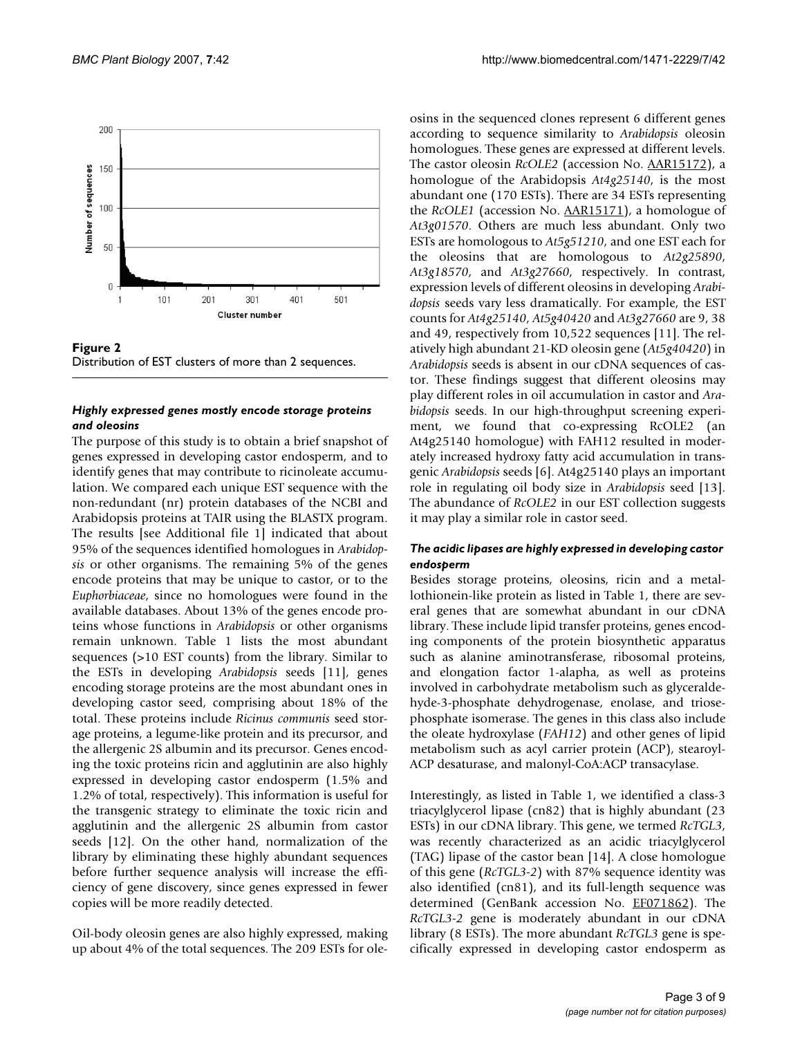

**Figure 2** Distribution of EST clusters of more than 2 sequences.

## *Highly expressed genes mostly encode storage proteins and oleosins*

The purpose of this study is to obtain a brief snapshot of genes expressed in developing castor endosperm, and to identify genes that may contribute to ricinoleate accumulation. We compared each unique EST sequence with the non-redundant (nr) protein databases of the NCBI and Arabidopsis proteins at TAIR using the BLASTX program. The results [see Additional file 1] indicated that about 95% of the sequences identified homologues in *Arabidopsis* or other organisms. The remaining 5% of the genes encode proteins that may be unique to castor, or to the *Euphorbiaceae*, since no homologues were found in the available databases. About 13% of the genes encode proteins whose functions in *Arabidopsis* or other organisms remain unknown. Table 1 lists the most abundant sequences (>10 EST counts) from the library. Similar to the ESTs in developing *Arabidopsis* seeds [11], genes encoding storage proteins are the most abundant ones in developing castor seed, comprising about 18% of the total. These proteins include *Ricinus communis* seed storage proteins, a legume-like protein and its precursor, and the allergenic 2S albumin and its precursor. Genes encoding the toxic proteins ricin and agglutinin are also highly expressed in developing castor endosperm (1.5% and 1.2% of total, respectively). This information is useful for the transgenic strategy to eliminate the toxic ricin and agglutinin and the allergenic 2S albumin from castor seeds [12]. On the other hand, normalization of the library by eliminating these highly abundant sequences before further sequence analysis will increase the efficiency of gene discovery, since genes expressed in fewer copies will be more readily detected.

Oil-body oleosin genes are also highly expressed, making up about 4% of the total sequences. The 209 ESTs for oleosins in the sequenced clones represent 6 different genes according to sequence similarity to *Arabidopsis* oleosin homologues. These genes are expressed at different levels. The castor oleosin *RcOLE2* (accession No. [AAR15172\)](http://www.ncbi.nih.gov/entrez/query.fcgi?db=Nucleotide&cmd=search&term=AAR15172), a homologue of the Arabidopsis *At4g25140*, is the most abundant one (170 ESTs). There are 34 ESTs representing the *RcOLE1* (accession No. [AAR15171](http://www.ncbi.nih.gov/entrez/query.fcgi?db=Nucleotide&cmd=search&term=AAR15171)), a homologue of *At3g01570*. Others are much less abundant. Only two ESTs are homologous to *At5g51210*, and one EST each for the oleosins that are homologous to *At2g25890*, *At3g18570*, and *At3g27660*, respectively. In contrast, expression levels of different oleosins in developing *Arabidopsis* seeds vary less dramatically. For example, the EST counts for *At4g25140*, *At5g40420* and *At3g27660* are 9, 38 and 49, respectively from 10,522 sequences [11]. The relatively high abundant 21-KD oleosin gene (*At5g40420*) in *Arabidopsis* seeds is absent in our cDNA sequences of castor. These findings suggest that different oleosins may play different roles in oil accumulation in castor and *Arabidopsis* seeds. In our high-throughput screening experiment, we found that co-expressing RcOLE2 (an At4g25140 homologue) with FAH12 resulted in moderately increased hydroxy fatty acid accumulation in transgenic *Arabidopsis* seeds [6]. At4g25140 plays an important role in regulating oil body size in *Arabidopsis* seed [13]. The abundance of *RcOLE2* in our EST collection suggests it may play a similar role in castor seed.

## *The acidic lipases are highly expressed in developing castor endosperm*

Besides storage proteins, oleosins, ricin and a metallothionein-like protein as listed in Table 1, there are several genes that are somewhat abundant in our cDNA library. These include lipid transfer proteins, genes encoding components of the protein biosynthetic apparatus such as alanine aminotransferase, ribosomal proteins, and elongation factor 1-alapha, as well as proteins involved in carbohydrate metabolism such as glyceraldehyde-3-phosphate dehydrogenase, enolase, and triosephosphate isomerase. The genes in this class also include the oleate hydroxylase (*FAH12*) and other genes of lipid metabolism such as acyl carrier protein (ACP), stearoyl-ACP desaturase, and malonyl-CoA:ACP transacylase.

Interestingly, as listed in Table 1, we identified a class-3 triacylglycerol lipase (cn82) that is highly abundant (23 ESTs) in our cDNA library. This gene, we termed *RcTGL3*, was recently characterized as an acidic triacylglycerol (TAG) lipase of the castor bean [14]. A close homologue of this gene (*RcTGL3-2*) with 87% sequence identity was also identified (cn81), and its full-length sequence was determined (GenBank accession No. [EF071862](http://www.ncbi.nih.gov/entrez/query.fcgi?db=Nucleotide&cmd=search&term=EF071862)). The *RcTGL3-2* gene is moderately abundant in our cDNA library (8 ESTs). The more abundant *RcTGL3* gene is specifically expressed in developing castor endosperm as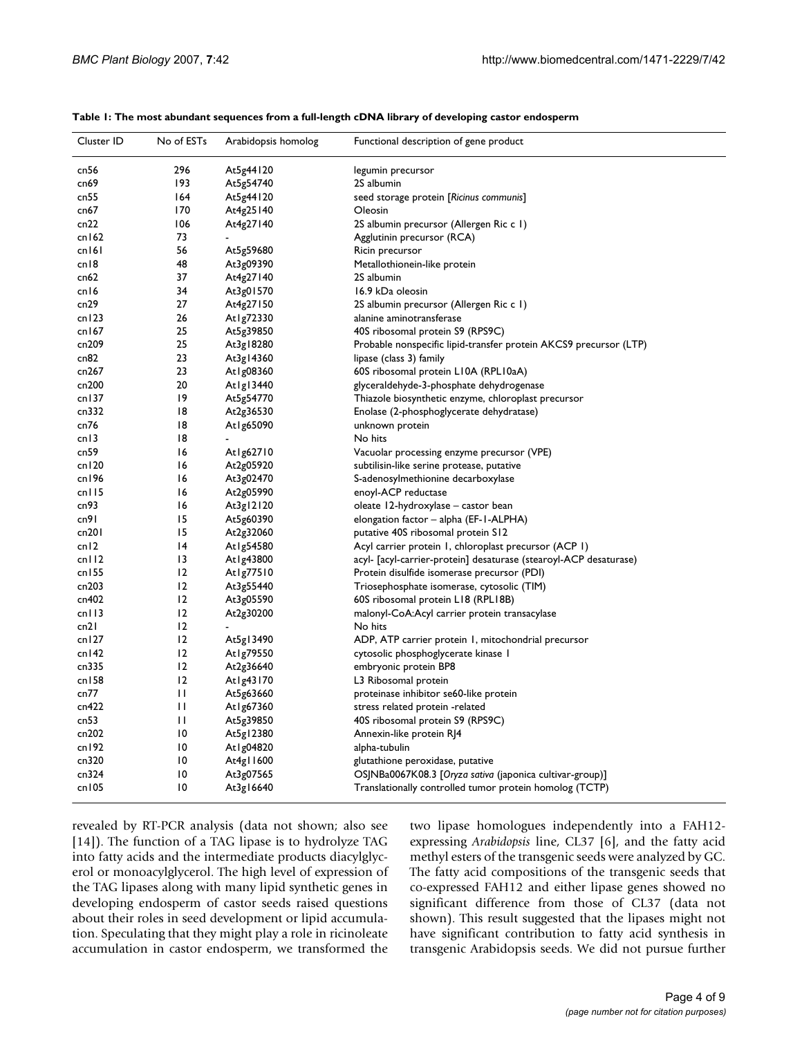| Cluster ID | No of ESTs      | Arabidopsis homolog | Functional description of gene product                            |
|------------|-----------------|---------------------|-------------------------------------------------------------------|
| cn56       | 296             | At5g44120           | legumin precursor                                                 |
| cn69       | 193             | At5g54740           | 2S albumin                                                        |
| cn55       | 164             | At5g44120           | seed storage protein [Ricinus communis]                           |
| cn67       | 170             | At4g25140           | Oleosin                                                           |
| cn22       | 106             | At4g27140           | 2S albumin precursor (Allergen Ric c 1)                           |
| cn162      | 73              |                     | Agglutinin precursor (RCA)                                        |
| cn161      | 56              | At5g59680           | Ricin precursor                                                   |
| cn18       | 48              | At3g09390           | Metallothionein-like protein                                      |
| cn62       | 37              | At4g27140           | 2S albumin                                                        |
| cn16       | 34              | At3g01570           | 16.9 kDa oleosin                                                  |
| cn29       | 27              | At4g27150           | 2S albumin precursor (Allergen Ric c 1)                           |
| cn123      | 26              | At1g72330           | alanine aminotransferase                                          |
| cn167      | 25              | At5g39850           | 40S ribosomal protein S9 (RPS9C)                                  |
| cn209      | 25              | At3g18280           | Probable nonspecific lipid-transfer protein AKCS9 precursor (LTP) |
| cn82       | 23              | At3g14360           | lipase (class 3) family                                           |
| cn267      | 23              | At1g08360           | 60S ribosomal protein L10A (RPL10aA)                              |
| cn200      | 20              | Atlgl $3440$        | glyceraldehyde-3-phosphate dehydrogenase                          |
| cn137      | 19              | At5g54770           | Thiazole biosynthetic enzyme, chloroplast precursor               |
| cn332      | 18              | At2g36530           | Enolase (2-phosphoglycerate dehydratase)                          |
| cn76       | 18              | At1g65090           | unknown protein                                                   |
| cn13       | 18              | $\blacksquare$      | No hits                                                           |
| cn59       | 16              | At1g62710           | Vacuolar processing enzyme precursor (VPE)                        |
| cn120      | 16              | At2g05920           | subtilisin-like serine protease, putative                         |
| cn196      | 16              | At3g02470           | S-adenosylmethionine decarboxylase                                |
| cn115      | 16              | At2g05990           | enoyl-ACP reductase                                               |
| cn93       | 16              | At3g12120           | oleate 12-hydroxylase – castor bean                               |
| cn91       | 15              | At5g60390           | elongation factor - alpha (EF-1-ALPHA)                            |
| cn201      | 15              | At2g32060           | putative 40S ribosomal protein S12                                |
| cn12       | 4               | At1g54580           | Acyl carrier protein 1, chloroplast precursor (ACP 1)             |
| cn112      | 13              | At 1g43800          | acyl- [acyl-carrier-protein] desaturase (stearoyl-ACP desaturase) |
| cn155      | 12              | At1g77510           | Protein disulfide isomerase precursor (PDI)                       |
| cn203      | 12              | At3g55440           | Triosephosphate isomerase, cytosolic (TIM)                        |
| cn402      | 12              | At3g05590           | 60S ribosomal protein L18 (RPL18B)                                |
| cn113      | 12              | At2g30200           | malonyl-CoA:Acyl carrier protein transacylase                     |
| cn21       | 12              |                     | No hits                                                           |
| cn127      | 12              | At5g13490           | ADP, ATP carrier protein 1, mitochondrial precursor               |
| cn142      | 12              | At1g79550           | cytosolic phosphoglycerate kinase I                               |
| cn335      | 12              | At2g36640           | embryonic protein BP8                                             |
| cn158      | 12              | At1g43170           | L3 Ribosomal protein                                              |
| cn77       | $\mathbf{H}$    | At5g63660           | proteinase inhibitor se60-like protein                            |
| cn422      | $\mathbf{H}$    | At1g67360           | stress related protein -related                                   |
| cn53       | $\mathbf{H}$    | At5g39850           | 40S ribosomal protein S9 (RPS9C)                                  |
| cn202      | $\overline{10}$ | At5g12380           | Annexin-like protein RJ4                                          |
| cn192      | $\overline{10}$ | At1g04820           | alpha-tubulin                                                     |
| cn320      | $\overline{10}$ | At4g11600           | glutathione peroxidase, putative                                  |
| cn324      | $\overline{10}$ | At3g07565           | OSJNBa0067K08.3 [Oryza sativa (japonica cultivar-group)]          |
| cn105      | $\overline{10}$ | At3g16640           | Translationally controlled tumor protein homolog (TCTP)           |

#### **Table 1: The most abundant sequences from a full-length cDNA library of developing castor endosperm**

revealed by RT-PCR analysis (data not shown; also see [14]). The function of a TAG lipase is to hydrolyze TAG into fatty acids and the intermediate products diacylglycerol or monoacylglycerol. The high level of expression of the TAG lipases along with many lipid synthetic genes in developing endosperm of castor seeds raised questions about their roles in seed development or lipid accumulation. Speculating that they might play a role in ricinoleate accumulation in castor endosperm, we transformed the two lipase homologues independently into a FAH12 expressing *Arabidopsis* line, CL37 [6], and the fatty acid methyl esters of the transgenic seeds were analyzed by GC. The fatty acid compositions of the transgenic seeds that co-expressed FAH12 and either lipase genes showed no significant difference from those of CL37 (data not shown). This result suggested that the lipases might not have significant contribution to fatty acid synthesis in transgenic Arabidopsis seeds. We did not pursue further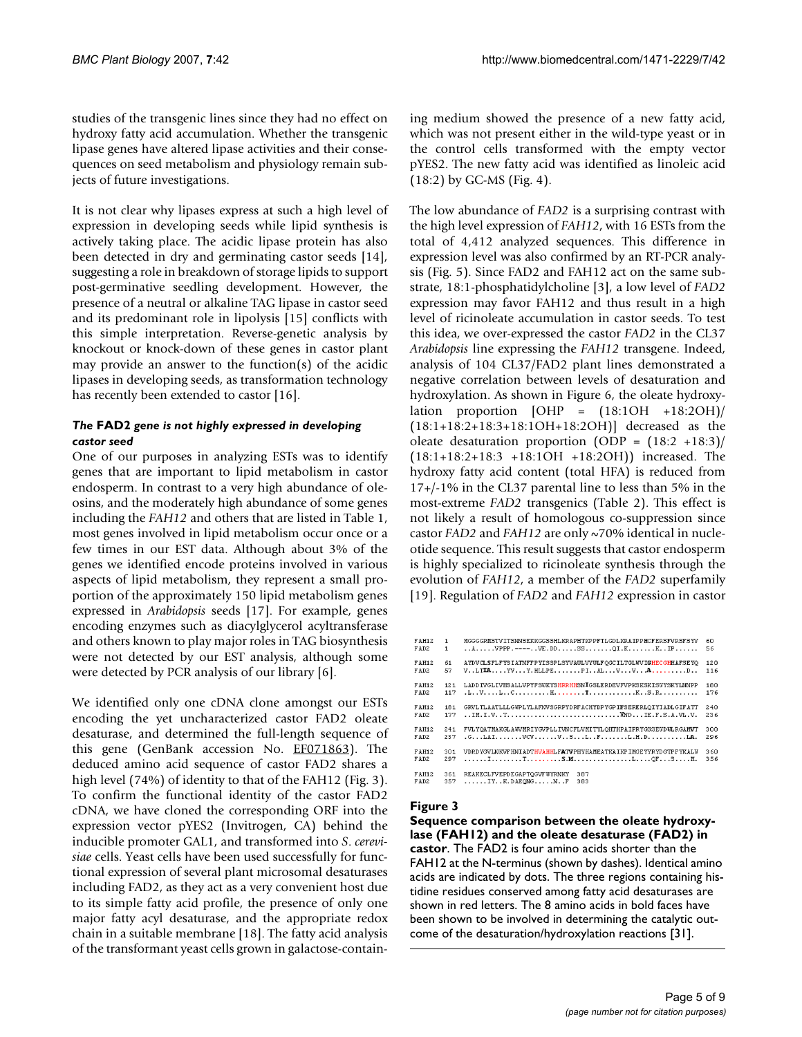studies of the transgenic lines since they had no effect on hydroxy fatty acid accumulation. Whether the transgenic lipase genes have altered lipase activities and their consequences on seed metabolism and physiology remain subjects of future investigations.

It is not clear why lipases express at such a high level of expression in developing seeds while lipid synthesis is actively taking place. The acidic lipase protein has also been detected in dry and germinating castor seeds [14], suggesting a role in breakdown of storage lipids to support post-germinative seedling development. However, the presence of a neutral or alkaline TAG lipase in castor seed and its predominant role in lipolysis [15] conflicts with this simple interpretation. Reverse-genetic analysis by knockout or knock-down of these genes in castor plant may provide an answer to the function(s) of the acidic lipases in developing seeds, as transformation technology has recently been extended to castor [16].

## *The* **FAD2** *gene is not highly expressed in developing castor seed*

One of our purposes in analyzing ESTs was to identify genes that are important to lipid metabolism in castor endosperm. In contrast to a very high abundance of oleosins, and the moderately high abundance of some genes including the *FAH12* and others that are listed in Table 1, most genes involved in lipid metabolism occur once or a few times in our EST data. Although about 3% of the genes we identified encode proteins involved in various aspects of lipid metabolism, they represent a small proportion of the approximately 150 lipid metabolism genes expressed in *Arabidopsis* seeds [17]. For example, genes encoding enzymes such as diacylglycerol acyltransferase and others known to play major roles in TAG biosynthesis were not detected by our EST analysis, although some were detected by PCR analysis of our library [6].

We identified only one cDNA clone amongst our ESTs encoding the yet uncharacterized castor FAD2 oleate desaturase, and determined the full-length sequence of this gene (GenBank accession No. [EF071863\)](http://www.ncbi.nih.gov/entrez/query.fcgi?db=Nucleotide&cmd=search&term=EF071863). The deduced amino acid sequence of castor FAD2 shares a high level (74%) of identity to that of the FAH12 (Fig. 3). To confirm the functional identity of the castor FAD2 cDNA, we have cloned the corresponding ORF into the expression vector pYES2 (Invitrogen, CA) behind the inducible promoter GAL1, and transformed into *S*. *cerevisiae* cells. Yeast cells have been used successfully for functional expression of several plant microsomal desaturases including FAD2, as they act as a very convenient host due to its simple fatty acid profile, the presence of only one major fatty acyl desaturase, and the appropriate redox chain in a suitable membrane [18]. The fatty acid analysis of the transformant yeast cells grown in galactose-containing medium showed the presence of a new fatty acid, which was not present either in the wild-type yeast or in the control cells transformed with the empty vector pYES2. The new fatty acid was identified as linoleic acid (18:2) by GC-MS (Fig. 4).

The low abundance of *FAD2* is a surprising contrast with the high level expression of *FAH12*, with 16 ESTs from the total of 4,412 analyzed sequences. This difference in expression level was also confirmed by an RT-PCR analysis (Fig. 5). Since FAD2 and FAH12 act on the same substrate, 18:1-phosphatidylcholine [3], a low level of *FAD2* expression may favor FAH12 and thus result in a high level of ricinoleate accumulation in castor seeds. To test this idea, we over-expressed the castor *FAD2* in the CL37 *Arabidopsis* line expressing the *FAH12* transgene. Indeed, analysis of 104 CL37/FAD2 plant lines demonstrated a negative correlation between levels of desaturation and hydroxylation. As shown in Figure 6, the oleate hydroxylation proportion  $[OHP = (18:1OH + 18:2OH)$ (18:1+18:2+18:3+18:1OH+18:2OH)] decreased as the oleate desaturation proportion (ODP =  $(18:2 + 18:3)$ ) (18:1+18:2+18:3 +18:1OH +18:2OH)) increased. The hydroxy fatty acid content (total HFA) is reduced from 17+/-1% in the CL37 parental line to less than 5% in the most-extreme *FAD2* transgenics (Table 2). This effect is not likely a result of homologous co-suppression since castor *FAD2* and *FAH12* are only ~70% identical in nucleotide sequence. This result suggests that castor endosperm is highly specialized to ricinoleate synthesis through the evolution of *FAH12*, a member of the *FAD2* superfamily [19]. Regulation of *FAD2* and *FAH12* expression in castor

| <b>FAH12</b>         | $\mathbf{1}$ | MGGGGRMSTVITSNNSEKKGGSSHLKRAPHTKPPFTLGDLKRAIPPHCFERSFVRSFSYV                                                 | 60               |
|----------------------|--------------|--------------------------------------------------------------------------------------------------------------|------------------|
| FAD <sub>2</sub>     | 1            | $\ldots$ VPPP.---- VE. DD SS QI.K K IP                                                                       | 56               |
| <b>FAH12</b>         | 61           | AYDVCLSFLFYSIATNFFPYISSPLSYVAWLVYWLFOGCILTGLWVIGHECGHHAFSEYO                                                 | 120              |
| FAD <sub>2</sub>     | 57           | $VLTLAVVY. HLLPEPL.RLUVVAD$                                                                                  | 116              |
| <b>FAH12</b>         | 121          | LADD IVGLIVHSALLVPYFSWKYSHRRHHSNIGSLERDEVFVPKSKSKISWYSKYLNNPP                                                | 180              |
| FAD <sub>2</sub>     | 117          |                                                                                                              | 176              |
| <b>FAH12</b>         | 181          | GRVLTLAATLLLGWPLYLAFNVSGRPYDRFACHYDPYGPIFSERERLOIYIADLGIFATT                                                 | 2.4 <sub>0</sub> |
| FAD <sub>2</sub>     | 177          |                                                                                                              | 236              |
| <b>FAH12</b>         | 241          | FVLYOATMAKGLAWMRIYGVPLLIVNCFLVMITYLOHTHPAIPRYGSSEWDWLRGAMVT                                                  | 300              |
| FAD2                 | 237          |                                                                                                              | 296              |
| <b>FAH12</b>         | 301          | VDRD VGVLNKVF HNI ADTHVAHHLFATVPHYHANEATKA I KP I MGE YYR YDGTP F YK ALM                                     | 360              |
| FAD <sub>2</sub>     | 297          |                                                                                                              | 356              |
| <b>FAH12</b><br>FAD2 | 361<br>357   | REAKECLFVEPDEGAPTOGVFWYRNKY<br>387<br>$\ldots$ , $\ldots$ TY. $\ldots$ R. DARONG, $\ldots$ , N. $\ldots$ 383 |                  |

## **Figure 3**

**Sequence comparison between the oleate hydroxylase (FAH12) and the oleate desaturase (FAD2) in castor**. The FAD2 is four amino acids shorter than the FAH12 at the N-terminus (shown by dashes). Identical amino acids are indicated by dots. The three regions containing histidine residues conserved among fatty acid desaturases are shown in red letters. The 8 amino acids in bold faces have been shown to be involved in determining the catalytic outcome of the desaturation/hydroxylation reactions [31].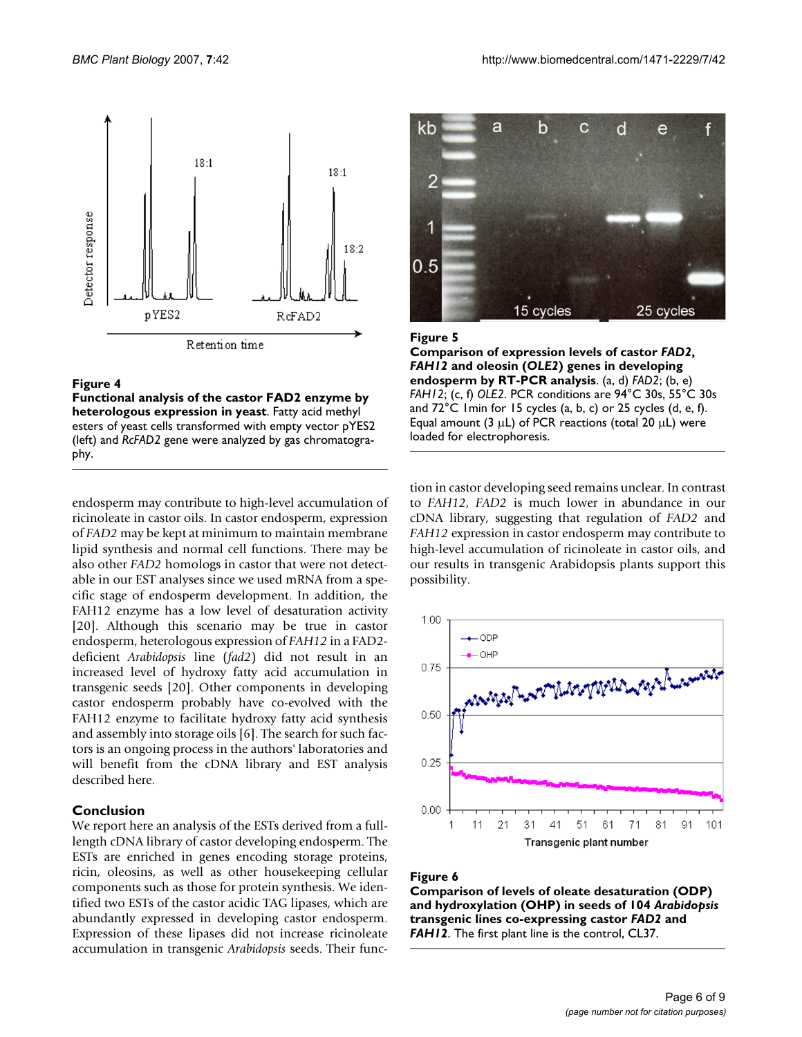

#### Figure 4

**Functional analysis of the castor FAD2 enzyme by heterologous expression in yeast**. Fatty acid methyl esters of yeast cells transformed with empty vector pYES2 (left) and *RcFAD2* gene were analyzed by gas chromatography.

endosperm may contribute to high-level accumulation of ricinoleate in castor oils. In castor endosperm, expression of *FAD2* may be kept at minimum to maintain membrane lipid synthesis and normal cell functions. There may be also other *FAD2* homologs in castor that were not detectable in our EST analyses since we used mRNA from a specific stage of endosperm development. In addition, the FAH12 enzyme has a low level of desaturation activity [20]. Although this scenario may be true in castor endosperm, heterologous expression of *FAH12* in a FAD2 deficient *Arabidopsis* line (*fad2*) did not result in an increased level of hydroxy fatty acid accumulation in transgenic seeds [20]. Other components in developing castor endosperm probably have co-evolved with the FAH12 enzyme to facilitate hydroxy fatty acid synthesis and assembly into storage oils [6]. The search for such factors is an ongoing process in the authors' laboratories and will benefit from the cDNA library and EST analysis described here.

#### **Conclusion**

We report here an analysis of the ESTs derived from a fulllength cDNA library of castor developing endosperm. The ESTs are enriched in genes encoding storage proteins, ricin, oleosins, as well as other housekeeping cellular components such as those for protein synthesis. We identified two ESTs of the castor acidic TAG lipases, which are abundantly expressed in developing castor endosperm. Expression of these lipases did not increase ricinoleate accumulation in transgenic *Arabidopsis* seeds. Their func-



#### **Figure 5**

**Comparison of expression levels of castor** *FAD2***,**  *FAH12* **and oleosin (***OLE2***) genes in developing endosperm by RT-PCR analysis**. (a, d) *FAD2*; (b, e) *FAH12*; (c, f) *OLE2*. PCR conditions are 94°C 30s, 55°C 30s and 72°C 1min for 15 cycles (a, b, c) or 25 cycles (d, e, f). Equal amount (3  $\mu$ L) of PCR reactions (total 20  $\mu$ L) were loaded for electrophoresis.

tion in castor developing seed remains unclear. In contrast to *FAH12*, *FAD2* is much lower in abundance in our cDNA library, suggesting that regulation of *FAD2* and *FAH12* expression in castor endosperm may contribute to high-level accumulation of ricinoleate in castor oils, and our results in transgenic Arabidopsis plants support this possibility.



#### Figure 6

**Comparison of levels of oleate desaturation (ODP) and hydroxylation (OHP) in seeds of 104** *Arabidopsis*  **transgenic lines co-expressing castor** *FAD2* **and**  *FAH12*. The first plant line is the control, CL37.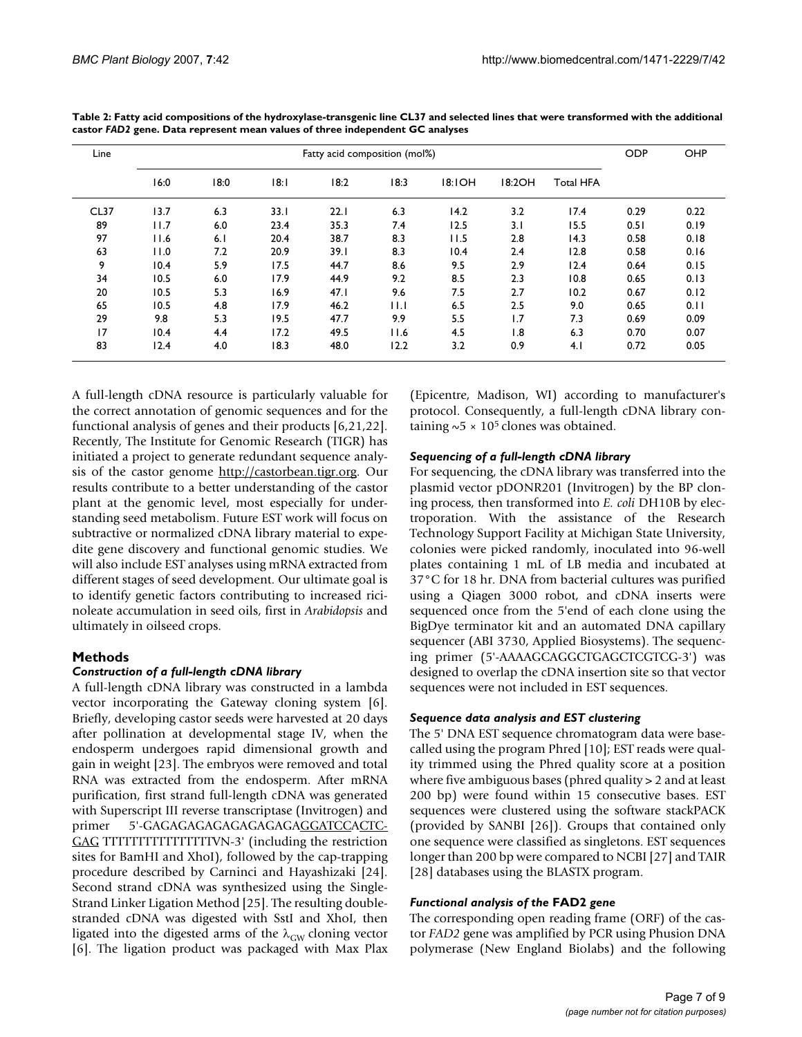| Line | Fatty acid composition (mol%) |      |      |      |      |        |                  | <b>ODP</b>       | OHP  |      |
|------|-------------------------------|------|------|------|------|--------|------------------|------------------|------|------|
|      | 16:0                          | 18:0 | 8:   | 18:2 | 18:3 | 18:1OH | 18:2OH           | <b>Total HFA</b> |      |      |
| CL37 | 13.7                          | 6.3  | 33.1 | 22.1 | 6.3  | 14.2   | 3.2              | 17.4             | 0.29 | 0.22 |
| 89   | 11.7                          | 6.0  | 23.4 | 35.3 | 7.4  | 12.5   | 3.1              | 15.5             | 0.51 | 0.19 |
| 97   | 11.6                          | 6.1  | 20.4 | 38.7 | 8.3  | 11.5   | 2.8              | 14.3             | 0.58 | 0.18 |
| 63   | 11.0                          | 7.2  | 20.9 | 39.I | 8.3  | 10.4   | 2.4              | 12.8             | 0.58 | 0.16 |
| 9    | 10.4                          | 5.9  | 17.5 | 44.7 | 8.6  | 9.5    | 2.9              | 12.4             | 0.64 | 0.15 |
| 34   | 10.5                          | 6.0  | 17.9 | 44.9 | 9.2  | 8.5    | 2.3              | 10.8             | 0.65 | 0.13 |
| 20   | 10.5                          | 5.3  | 16.9 | 47.1 | 9.6  | 7.5    | 2.7              | 10.2             | 0.67 | 0.12 |
| 65   | 10.5                          | 4.8  | 17.9 | 46.2 | 11.1 | 6.5    | 2.5              | 9.0              | 0.65 | 0.11 |
| 29   | 9.8                           | 5.3  | 19.5 | 47.7 | 9.9  | 5.5    | 1.7              | 7.3              | 0.69 | 0.09 |
| 17   | 10.4                          | 4.4  | 17.2 | 49.5 | 11.6 | 4.5    | $\overline{1.8}$ | 6.3              | 0.70 | 0.07 |
| 83   | 12.4                          | 4.0  | 18.3 | 48.0 | 12.2 | 3.2    | 0.9              | 4.1              | 0.72 | 0.05 |

**Table 2: Fatty acid compositions of the hydroxylase-transgenic line CL37 and selected lines that were transformed with the additional castor** *FAD2* **gene. Data represent mean values of three independent GC analyses**

A full-length cDNA resource is particularly valuable for the correct annotation of genomic sequences and for the functional analysis of genes and their products [6,21,22]. Recently, The Institute for Genomic Research (TIGR) has initiated a project to generate redundant sequence analysis of the castor genome <http://castorbean.tigr.org>. Our results contribute to a better understanding of the castor plant at the genomic level, most especially for understanding seed metabolism. Future EST work will focus on subtractive or normalized cDNA library material to expedite gene discovery and functional genomic studies. We will also include EST analyses using mRNA extracted from different stages of seed development. Our ultimate goal is to identify genetic factors contributing to increased ricinoleate accumulation in seed oils, first in *Arabidopsis* and ultimately in oilseed crops.

## **Methods**

## *Construction of a full-length cDNA library*

A full-length cDNA library was constructed in a lambda vector incorporating the Gateway cloning system [6]. Briefly, developing castor seeds were harvested at 20 days after pollination at developmental stage IV, when the endosperm undergoes rapid dimensional growth and gain in weight [23]. The embryos were removed and total RNA was extracted from the endosperm. After mRNA purification, first strand full-length cDNA was generated with Superscript III reverse transcriptase (Invitrogen) and primer 5'-GAGAGAGAGAGAGAGAGAGGATCCACTC-GAG TTTTTTTTTTTTTTTTVN-3' (including the restriction sites for BamHI and XhoI), followed by the cap-trapping procedure described by Carninci and Hayashizaki [24]. Second strand cDNA was synthesized using the Single-Strand Linker Ligation Method [25]. The resulting doublestranded cDNA was digested with SstI and XhoI, then ligated into the digested arms of the  $\lambda_{GW}$  cloning vector [6]. The ligation product was packaged with Max Plax (Epicentre, Madison, WI) according to manufacturer's protocol. Consequently, a full-length cDNA library containing  $\sim$  5  $\times$  10<sup>5</sup> clones was obtained.

## *Sequencing of a full-length cDNA library*

For sequencing, the cDNA library was transferred into the plasmid vector pDONR201 (Invitrogen) by the BP cloning process, then transformed into *E. coli* DH10B by electroporation. With the assistance of the Research Technology Support Facility at Michigan State University, colonies were picked randomly, inoculated into 96-well plates containing 1 mL of LB media and incubated at 37°C for 18 hr. DNA from bacterial cultures was purified using a Qiagen 3000 robot, and cDNA inserts were sequenced once from the 5'end of each clone using the BigDye terminator kit and an automated DNA capillary sequencer (ABI 3730, Applied Biosystems). The sequencing primer (5'-AAAAGCAGGCTGAGCTCGTCG-3') was designed to overlap the cDNA insertion site so that vector sequences were not included in EST sequences.

## *Sequence data analysis and EST clustering*

The 5' DNA EST sequence chromatogram data were basecalled using the program Phred [10]; EST reads were quality trimmed using the Phred quality score at a position where five ambiguous bases (phred quality > 2 and at least 200 bp) were found within 15 consecutive bases. EST sequences were clustered using the software stackPACK (provided by SANBI [26]). Groups that contained only one sequence were classified as singletons. EST sequences longer than 200 bp were compared to NCBI [27] and TAIR [28] databases using the BLASTX program.

## *Functional analysis of the* **FAD2** *gene*

The corresponding open reading frame (ORF) of the castor *FAD2* gene was amplified by PCR using Phusion DNA polymerase (New England Biolabs) and the following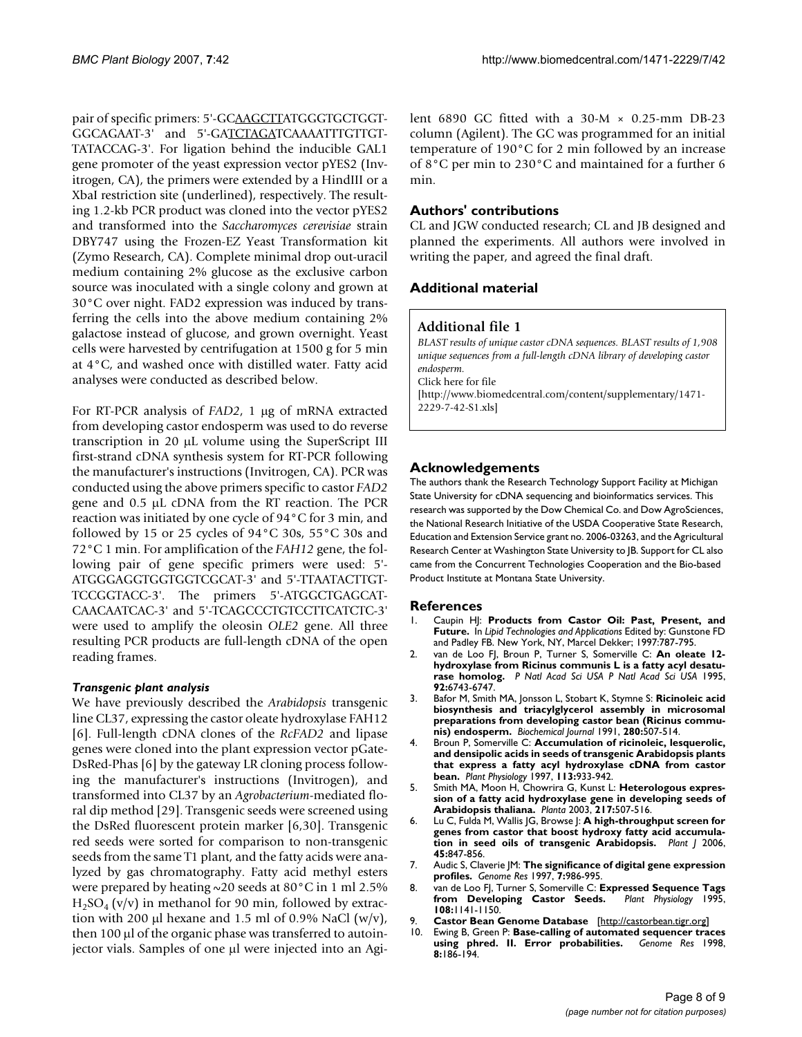pair of specific primers: 5'-GCAAGCTTATGGGTGCTGGT-GGCAGAAT-3' and 5'-GATCTAGATCAAAATTTGTTGT-TATACCAG-3'. For ligation behind the inducible GAL1 gene promoter of the yeast expression vector pYES2 (Invitrogen, CA), the primers were extended by a HindIII or a XbaI restriction site (underlined), respectively. The resulting 1.2-kb PCR product was cloned into the vector pYES2 and transformed into the *Saccharomyces cerevisiae* strain DBY747 using the Frozen-EZ Yeast Transformation kit (Zymo Research, CA). Complete minimal drop out-uracil medium containing 2% glucose as the exclusive carbon source was inoculated with a single colony and grown at 30°C over night. FAD2 expression was induced by transferring the cells into the above medium containing 2% galactose instead of glucose, and grown overnight. Yeast cells were harvested by centrifugation at 1500 g for 5 min at 4°C, and washed once with distilled water. Fatty acid analyses were conducted as described below.

For RT-PCR analysis of *FAD2*, 1 µg of mRNA extracted from developing castor endosperm was used to do reverse transcription in 20 µL volume using the SuperScript III first-strand cDNA synthesis system for RT-PCR following the manufacturer's instructions (Invitrogen, CA). PCR was conducted using the above primers specific to castor *FAD2* gene and 0.5 µL cDNA from the RT reaction. The PCR reaction was initiated by one cycle of 94°C for 3 min, and followed by 15 or 25 cycles of 94°C 30s, 55°C 30s and 72°C 1 min. For amplification of the *FAH12* gene, the following pair of gene specific primers were used: 5'- ATGGGAGGTGGTGGTCGCAT-3' and 5'-TTAATACTTGT-TCCGGTACC-3'. The primers 5'-ATGGCTGAGCAT-CAACAATCAC-3' and 5'-TCAGCCCTGTCCTTCATCTC-3' were used to amplify the oleosin *OLE2* gene. All three resulting PCR products are full-length cDNA of the open reading frames.

## *Transgenic plant analysis*

We have previously described the *Arabidopsis* transgenic line CL37, expressing the castor oleate hydroxylase FAH12 [6]. Full-length cDNA clones of the *RcFAD2* and lipase genes were cloned into the plant expression vector pGate-DsRed-Phas [6] by the gateway LR cloning process following the manufacturer's instructions (Invitrogen), and transformed into CL37 by an *Agrobacterium*-mediated floral dip method [29]. Transgenic seeds were screened using the DsRed fluorescent protein marker [6,30]. Transgenic red seeds were sorted for comparison to non-transgenic seeds from the same T1 plant, and the fatty acids were analyzed by gas chromatography. Fatty acid methyl esters were prepared by heating  $\sim$  20 seeds at 80 °C in 1 ml 2.5%  $H_2SO_4$  (v/v) in methanol for 90 min, followed by extraction with 200 µl hexane and 1.5 ml of 0.9% NaCl  $(w/v)$ , then 100 µl of the organic phase was transferred to autoinjector vials. Samples of one µl were injected into an Agilent 6890 GC fitted with a  $30-M \times 0.25$ -mm DB-23 column (Agilent). The GC was programmed for an initial temperature of 190°C for 2 min followed by an increase of 8°C per min to 230°C and maintained for a further 6 min.

## **Authors' contributions**

CL and JGW conducted research; CL and JB designed and planned the experiments. All authors were involved in writing the paper, and agreed the final draft.

## **Additional material**

## **Additional file 1**

*BLAST results of unique castor cDNA sequences. BLAST results of 1,908 unique sequences from a full-length cDNA library of developing castor endosperm.* Click here for file [\[http://www.biomedcentral.com/content/supplementary/1471-](http://www.biomedcentral.com/content/supplementary/1471-2229-7-42-S1.xls) 2229-7-42-S1.xls]

## **Acknowledgements**

The authors thank the Research Technology Support Facility at Michigan State University for cDNA sequencing and bioinformatics services. This research was supported by the Dow Chemical Co. and Dow AgroSciences, the National Research Initiative of the USDA Cooperative State Research, Education and Extension Service grant no. 2006-03263, and the Agricultural Research Center at Washington State University to JB. Support for CL also came from the Concurrent Technologies Cooperation and the Bio-based Product Institute at Montana State University.

#### **References**

- 1. Caupin HJ: **Products from Castor Oil: Past, Present, and Future.** In *Lipid Technologies and Applications* Edited by: Gunstone FD and Padley FB. New York, NY, Marcel Dekker; 1997:787-795.
- 2. van de Loo FJ, Broun P, Turner S, Somerville C: **An oleate 12 hydroxylase from Ricinus communis L is a fatty acyl desaturase homolog.** *P Natl Acad Sci USA P Natl Acad Sci USA* 1995, **92:**6743-6747.
- 3. Bafor M, Smith MA, Jonsson L, Stobart K, Stymne S: **[Ricinoleic acid](http://www.ncbi.nlm.nih.gov/entrez/query.fcgi?cmd=Retrieve&db=PubMed&dopt=Abstract&list_uids=1747126) biosynthesis and triacylglycerol assembly in microsomal [preparations from developing castor bean \(Ricinus commu](http://www.ncbi.nlm.nih.gov/entrez/query.fcgi?cmd=Retrieve&db=PubMed&dopt=Abstract&list_uids=1747126)[nis\) endosperm.](http://www.ncbi.nlm.nih.gov/entrez/query.fcgi?cmd=Retrieve&db=PubMed&dopt=Abstract&list_uids=1747126)** *Biochemical Journal* 1991, **280:**507-514.
- 4. Broun P, Somerville C: **[Accumulation of ricinoleic, lesquerolic,](http://www.ncbi.nlm.nih.gov/entrez/query.fcgi?cmd=Retrieve&db=PubMed&dopt=Abstract&list_uids=9085577) and densipolic acids in seeds of transgenic Arabidopsis plants [that express a fatty acyl hydroxylase cDNA from castor](http://www.ncbi.nlm.nih.gov/entrez/query.fcgi?cmd=Retrieve&db=PubMed&dopt=Abstract&list_uids=9085577) [bean.](http://www.ncbi.nlm.nih.gov/entrez/query.fcgi?cmd=Retrieve&db=PubMed&dopt=Abstract&list_uids=9085577)** *Plant Physiology* 1997, **113:**933-942.
- 5. Smith MA, Moon H, Chowrira G, Kunst L: **[Heterologous expres](http://www.ncbi.nlm.nih.gov/entrez/query.fcgi?cmd=Retrieve&db=PubMed&dopt=Abstract&list_uids=14520576)[sion of a fatty acid hydroxylase gene in developing seeds of](http://www.ncbi.nlm.nih.gov/entrez/query.fcgi?cmd=Retrieve&db=PubMed&dopt=Abstract&list_uids=14520576) [Arabidopsis thaliana.](http://www.ncbi.nlm.nih.gov/entrez/query.fcgi?cmd=Retrieve&db=PubMed&dopt=Abstract&list_uids=14520576)** *Planta* 2003, **217:**507-516.
- 6. Lu C, Fulda M, Wallis JG, Browse J: **[A high-throughput screen for](http://www.ncbi.nlm.nih.gov/entrez/query.fcgi?cmd=Retrieve&db=PubMed&dopt=Abstract&list_uids=16460516) [genes from castor that boost hydroxy fatty acid accumula](http://www.ncbi.nlm.nih.gov/entrez/query.fcgi?cmd=Retrieve&db=PubMed&dopt=Abstract&list_uids=16460516)[tion in seed oils of transgenic Arabidopsis.](http://www.ncbi.nlm.nih.gov/entrez/query.fcgi?cmd=Retrieve&db=PubMed&dopt=Abstract&list_uids=16460516)** *Plant J* 2006, **45:**847-856.
- 7. Audic S, Claverie JM: **[The significance of digital gene expression](http://www.ncbi.nlm.nih.gov/entrez/query.fcgi?cmd=Retrieve&db=PubMed&dopt=Abstract&list_uids=9331369) [profiles.](http://www.ncbi.nlm.nih.gov/entrez/query.fcgi?cmd=Retrieve&db=PubMed&dopt=Abstract&list_uids=9331369)** *Genome Res* 1997, **7:**986-995.
- van de Loo FJ, Turner S, Somerville C: **[Expressed Sequence Tags](http://www.ncbi.nlm.nih.gov/entrez/query.fcgi?cmd=Retrieve&db=PubMed&dopt=Abstract&list_uids=12228533)**<br>**from Developing Castor Seeds.** Plant Physiology 1995, [from Developing Castor Seeds.](http://www.ncbi.nlm.nih.gov/entrez/query.fcgi?cmd=Retrieve&db=PubMed&dopt=Abstract&list_uids=12228533) **108:**1141-1150.
- 9. **Castor Bean Genome Database** [<http://castorbean.tigr.org>]
- 10. Ewing B, Green P: **[Base-calling of automated sequencer traces](http://www.ncbi.nlm.nih.gov/entrez/query.fcgi?cmd=Retrieve&db=PubMed&dopt=Abstract&list_uids=9521922) [using phred. II. Error probabilities.](http://www.ncbi.nlm.nih.gov/entrez/query.fcgi?cmd=Retrieve&db=PubMed&dopt=Abstract&list_uids=9521922)** *Genome Res* 1998, **8:**186-194.